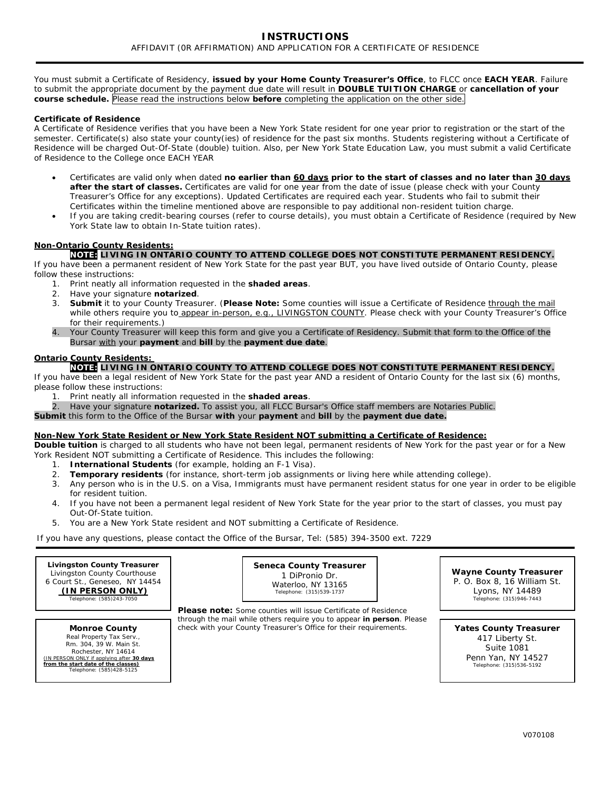You must submit a Certificate of Residency, **issued by your Home County Treasurer's Office**, to FLCC once **EACH YEAR**. Failure to submit the appropriate document by the payment due date will result in **DOUBLE TUITION CHARGE** or **cancellation of your course schedule.** Please read the instructions below **before** completing the application on the other side.

#### **Certificate of Residence**

A Certificate of Residence verifies that you have been a New York State resident for one year prior to registration or the start of the semester. Certificate(s) also state your county(ies) of residence for the past six months. Students registering without a Certificate of Residence will be charged Out-Of-State (double) tuition. Also, per New York State Education Law, you must submit a valid Certificate of Residence to the College once EACH YEAR

- Certificates are valid only when dated **no earlier than 60 days prior to the start of classes and no later than 30 days after the start of classes.** Certificates are valid for one year from the date of issue (please check with your County Treasurer's Office for any exceptions). Updated Certificates are required each year. Students who fail to submit their Certificates within the timeline mentioned above are responsible to pay additional non-resident tuition charge.
- If you are taking credit-bearing courses (refer to course details), you must obtain a Certificate of Residence (required by New York State law to obtain In-State tuition rates).

## **Non-Ontario County Residents:**

**NOTE: LIVING IN ONTARIO COUNTY TO ATTEND COLLEGE DOES NOT CONSTITUTE PERMANENT RESIDENCY.** 

If you have been a permanent resident of New York State for the past year BUT, you have lived outside of Ontario County, please follow these instructions:

- 1. Print neatly all information requested in the **shaded areas**.
- 2. Have your signature **notarized**.
- 3. **Submit** it to your County Treasurer. (**Please Note:** Some counties will issue a Certificate of Residence through the mail while others require you to appear in-person, e.g., LIVINGSTON COUNTY. Please check with your County Treasurer's Office for their requirements.)
- 4. Your County Treasurer will keep this form and give you a Certificate of Residency. Submit that form to the Office of the Bursar with your **payment** and **bill** by the **payment due date**.

#### **Ontario County Residents:**

## **NOTE: LIVING IN ONTARIO COUNTY TO ATTEND COLLEGE DOES NOT CONSTITUTE PERMANENT RESIDENCY.**

If you have been a legal resident of New York State for the past year AND a resident of Ontario County for the last six (6) months, please follow these instructions:

- 1. Print neatly all information requested in the **shaded areas**.
- 2. Have your signature **notarized.** To assist you, all FLCC Bursar's Office staff members are Notaries Public.
- **Submit** this form to the Office of the Bursar **with** your **payment** and **bill** by the **payment due date.**

#### **Non-New York State Resident or New York State Resident NOT submitting a Certificate of Residence:**

**Double tuition** is charged to all students who have not been legal, permanent residents of New York for the past year or for a New York Resident NOT submitting a Certificate of Residence. This includes the following:

- 1. **International Students** (for example, holding an F-1 Visa).
- 2. **Temporary residents** (for instance, short-term job assignments or living here while attending college).
- 3. Any person who is in the U.S. on a Visa, Immigrants must have permanent resident status for one year in order to be eligible for resident tuition.
- 4. If you have not been a permanent legal resident of New York State for the year prior to the start of classes, you must pay Out-Of-State tuition.
- 5. You are a New York State resident and NOT submitting a Certificate of Residence.

If you have any questions, please contact the Office of the Bursar, Tel: (585) 394-3500 ext. 7229

**Monroe County** Real Property Tax Serv Rm. 304, 39 W. Main St. Rochester, NY 14614 *(IN PERSON ONLY if applying after 30 days from the start date of the classes)* Telephone: (585)428-5125

**Seneca County Treasurer** 1 DiPronio Dr. Waterloo, NY 13165<br>
Telephone: (315)539-1737

**Wayne County Treasurer**  P. O. Box 8, 16 William St. Lyons, NY 14489<br>Telephone: (315)946-7443

*Please note: Some counties will issue Certificate of Residence through the mail while others require you to appear in person. Please check with your County Treasurer's Office for their requirements.*

**Yates County Treasurer** 417 Liberty St. Suite 1081 Penn Yan, NY 14527<br>
Telephone: (315)536-5192